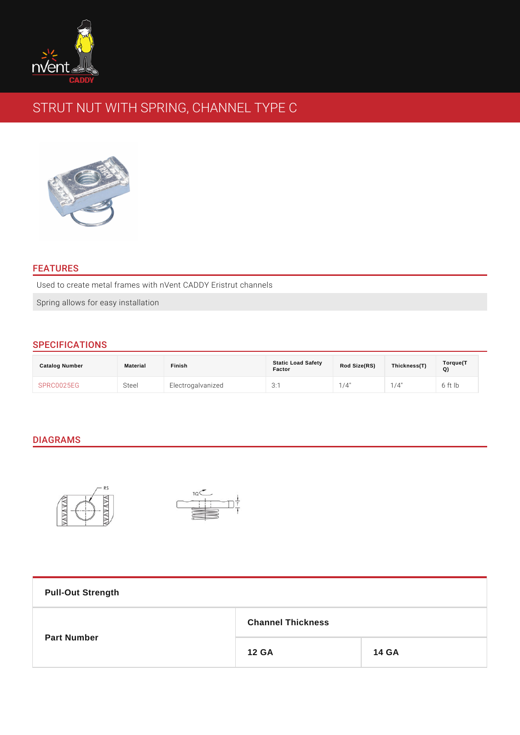# STRUT NUT WITH SPRING, CHANNEL TYPE C

### FEATURES

Used to create metal frames with nVent CADDY Eristrut channels

Spring allows for easy installation

## SPECIFICATIONS

| Catalog Number | Material | Finish            | <b>Static Load Safety</b><br>Factor | Rod Size(RS) | Thickness(T) | Torque(T<br>Q) |
|----------------|----------|-------------------|-------------------------------------|--------------|--------------|----------------|
| SPRC0025EG     | Steel    | Electrogalvanized | 3:1                                 | $/4$ "       | $/4$ "       | 6 ft Ib        |

## DIAGRAMS

| <b>Pull-Out Strength</b> |                          |       |  |
|--------------------------|--------------------------|-------|--|
| Part Number              | <b>Channel Thickness</b> |       |  |
|                          | 12 GA                    | 14 GA |  |